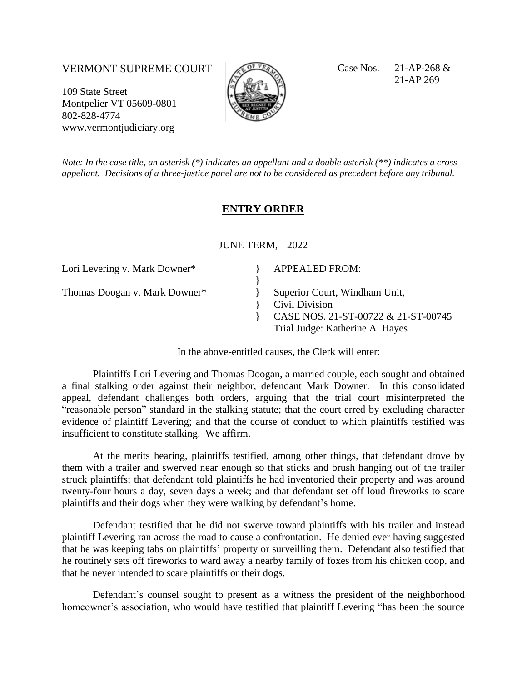## VERMONT SUPREME COURT  $\mathbb{C}^{\mathbb{C}^{\mathbb{C}}\mathbb{C}^{\mathbb{C}}\mathbb{C}}$  Case Nos. 21-AP-268 &

109 State Street Montpelier VT 05609-0801 802-828-4774 www.vermontjudiciary.org



21-AP 269

*Note: In the case title, an asterisk (\*) indicates an appellant and a double asterisk (\*\*) indicates a crossappellant. Decisions of a three-justice panel are not to be considered as precedent before any tribunal.*

## **ENTRY ORDER**

JUNE TERM, 2022

| Lori Levering v. Mark Downer* | <b>APPEALED FROM:</b>                                                                                                     |
|-------------------------------|---------------------------------------------------------------------------------------------------------------------------|
| Thomas Doogan v. Mark Downer* | Superior Court, Windham Unit,<br>Civil Division<br>CASE NOS. 21-ST-00722 & 21-ST-00745<br>Trial Judge: Katherine A. Hayes |

In the above-entitled causes, the Clerk will enter:

Plaintiffs Lori Levering and Thomas Doogan, a married couple, each sought and obtained a final stalking order against their neighbor, defendant Mark Downer. In this consolidated appeal, defendant challenges both orders, arguing that the trial court misinterpreted the "reasonable person" standard in the stalking statute; that the court erred by excluding character evidence of plaintiff Levering; and that the course of conduct to which plaintiffs testified was insufficient to constitute stalking. We affirm.

At the merits hearing, plaintiffs testified, among other things, that defendant drove by them with a trailer and swerved near enough so that sticks and brush hanging out of the trailer struck plaintiffs; that defendant told plaintiffs he had inventoried their property and was around twenty-four hours a day, seven days a week; and that defendant set off loud fireworks to scare plaintiffs and their dogs when they were walking by defendant's home.

Defendant testified that he did not swerve toward plaintiffs with his trailer and instead plaintiff Levering ran across the road to cause a confrontation. He denied ever having suggested that he was keeping tabs on plaintiffs' property or surveilling them. Defendant also testified that he routinely sets off fireworks to ward away a nearby family of foxes from his chicken coop, and that he never intended to scare plaintiffs or their dogs.

Defendant's counsel sought to present as a witness the president of the neighborhood homeowner's association, who would have testified that plaintiff Levering "has been the source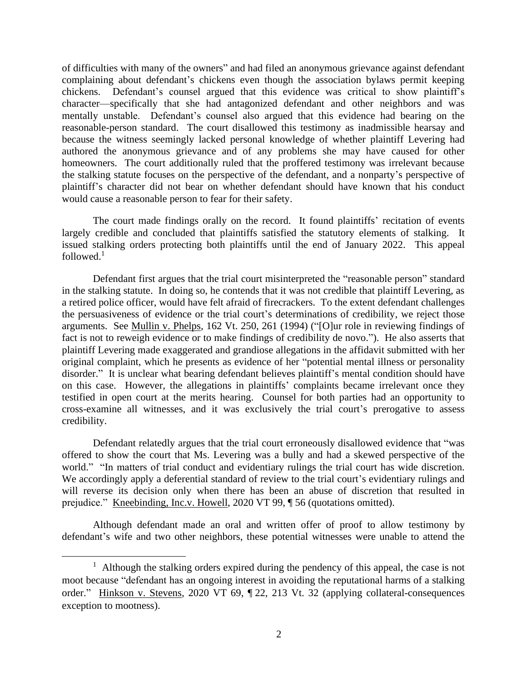of difficulties with many of the owners" and had filed an anonymous grievance against defendant complaining about defendant's chickens even though the association bylaws permit keeping chickens. Defendant's counsel argued that this evidence was critical to show plaintiff's character—specifically that she had antagonized defendant and other neighbors and was mentally unstable. Defendant's counsel also argued that this evidence had bearing on the reasonable-person standard. The court disallowed this testimony as inadmissible hearsay and because the witness seemingly lacked personal knowledge of whether plaintiff Levering had authored the anonymous grievance and of any problems she may have caused for other homeowners. The court additionally ruled that the proffered testimony was irrelevant because the stalking statute focuses on the perspective of the defendant, and a nonparty's perspective of plaintiff's character did not bear on whether defendant should have known that his conduct would cause a reasonable person to fear for their safety.

The court made findings orally on the record. It found plaintiffs' recitation of events largely credible and concluded that plaintiffs satisfied the statutory elements of stalking. It issued stalking orders protecting both plaintiffs until the end of January 2022. This appeal followed. $1$ 

Defendant first argues that the trial court misinterpreted the "reasonable person" standard in the stalking statute. In doing so, he contends that it was not credible that plaintiff Levering, as a retired police officer, would have felt afraid of firecrackers. To the extent defendant challenges the persuasiveness of evidence or the trial court's determinations of credibility, we reject those arguments. See Mullin v. Phelps, 162 Vt. 250, 261 (1994) ("[O]ur role in reviewing findings of fact is not to reweigh evidence or to make findings of credibility de novo."). He also asserts that plaintiff Levering made exaggerated and grandiose allegations in the affidavit submitted with her original complaint, which he presents as evidence of her "potential mental illness or personality disorder." It is unclear what bearing defendant believes plaintiff's mental condition should have on this case. However, the allegations in plaintiffs' complaints became irrelevant once they testified in open court at the merits hearing. Counsel for both parties had an opportunity to cross-examine all witnesses, and it was exclusively the trial court's prerogative to assess credibility.

Defendant relatedly argues that the trial court erroneously disallowed evidence that "was offered to show the court that Ms. Levering was a bully and had a skewed perspective of the world." "In matters of trial conduct and evidentiary rulings the trial court has wide discretion. We accordingly apply a deferential standard of review to the trial court's evidentiary rulings and will reverse its decision only when there has been an abuse of discretion that resulted in prejudice." Kneebinding, Inc.v. Howell, 2020 VT 99, ¶ 56 (quotations omitted).

Although defendant made an oral and written offer of proof to allow testimony by defendant's wife and two other neighbors, these potential witnesses were unable to attend the

<sup>&</sup>lt;sup>1</sup> Although the stalking orders expired during the pendency of this appeal, the case is not moot because "defendant has an ongoing interest in avoiding the reputational harms of a stalking order." Hinkson v. Stevens, 2020 VT 69, ¶ 22, 213 Vt. 32 (applying collateral-consequences exception to mootness).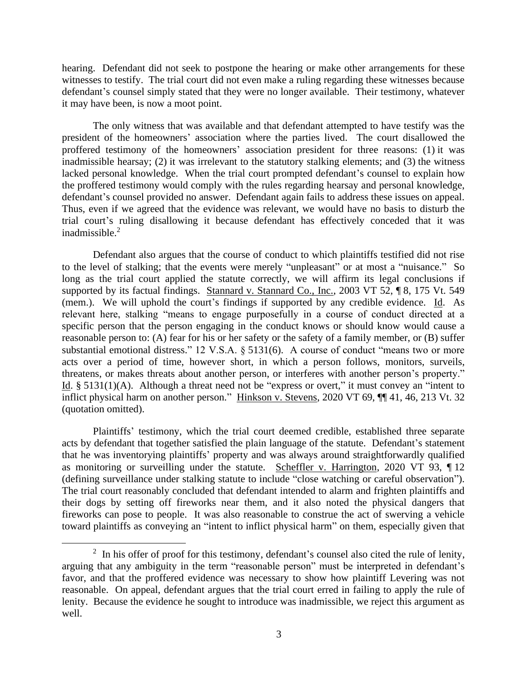hearing. Defendant did not seek to postpone the hearing or make other arrangements for these witnesses to testify. The trial court did not even make a ruling regarding these witnesses because defendant's counsel simply stated that they were no longer available. Their testimony, whatever it may have been, is now a moot point.

The only witness that was available and that defendant attempted to have testify was the president of the homeowners' association where the parties lived. The court disallowed the proffered testimony of the homeowners' association president for three reasons: (1) it was inadmissible hearsay; (2) it was irrelevant to the statutory stalking elements; and (3) the witness lacked personal knowledge. When the trial court prompted defendant's counsel to explain how the proffered testimony would comply with the rules regarding hearsay and personal knowledge, defendant's counsel provided no answer. Defendant again fails to address these issues on appeal. Thus, even if we agreed that the evidence was relevant, we would have no basis to disturb the trial court's ruling disallowing it because defendant has effectively conceded that it was inadmissible. 2

Defendant also argues that the course of conduct to which plaintiffs testified did not rise to the level of stalking; that the events were merely "unpleasant" or at most a "nuisance." So long as the trial court applied the statute correctly, we will affirm its legal conclusions if supported by its factual findings. Stannard v. Stannard Co., Inc., 2003 VT 52, ¶ 8, 175 Vt. 549 (mem.). We will uphold the court's findings if supported by any credible evidence. Id. As relevant here, stalking "means to engage purposefully in a course of conduct directed at a specific person that the person engaging in the conduct knows or should know would cause a reasonable person to: (A) fear for his or her safety or the safety of a family member, or (B) suffer substantial emotional distress." 12 V.S.A. § 5131(6). A course of conduct "means two or more acts over a period of time, however short, in which a person follows, monitors, surveils, threatens, or makes threats about another person, or interferes with another person's property." Id.  $\S$  5131(1)(A). Although a threat need not be "express or overt," it must convey an "intent to inflict physical harm on another person." Hinkson v. Stevens, 2020 VT 69, ¶¶ 41, 46, 213 Vt. 32 (quotation omitted).

Plaintiffs' testimony, which the trial court deemed credible, established three separate acts by defendant that together satisfied the plain language of the statute. Defendant's statement that he was inventorying plaintiffs' property and was always around straightforwardly qualified as monitoring or surveilling under the statute. Scheffler v. Harrington, 2020 VT 93, ¶ 12 (defining surveillance under stalking statute to include "close watching or careful observation"). The trial court reasonably concluded that defendant intended to alarm and frighten plaintiffs and their dogs by setting off fireworks near them, and it also noted the physical dangers that fireworks can pose to people. It was also reasonable to construe the act of swerving a vehicle toward plaintiffs as conveying an "intent to inflict physical harm" on them, especially given that

 $2 \text{ In his offer of proof for this testimony, defendant's, course, also cited the rule of } \frac{1}{2}$ arguing that any ambiguity in the term "reasonable person" must be interpreted in defendant's favor, and that the proffered evidence was necessary to show how plaintiff Levering was not reasonable. On appeal, defendant argues that the trial court erred in failing to apply the rule of lenity. Because the evidence he sought to introduce was inadmissible, we reject this argument as well.